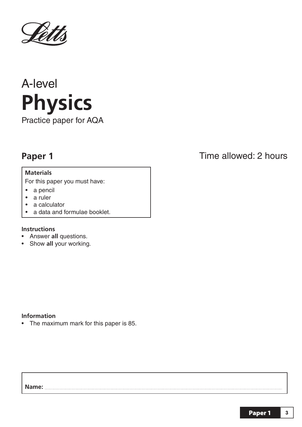

# A-level **Practice paper for A**

Practice paper for AQA

#### **Materials**

**For this paper you must have:** 

- a pencil
- a ruler
- a calculator
- a data and formulae booklet.

#### **Instructions**

- **•** Answer **all** questions.
- Show **all** your working.

#### **Information**

• The maximum mark for this paper is 85.

### **Paper 1** Time allowed: 2 hours

#### **Name:**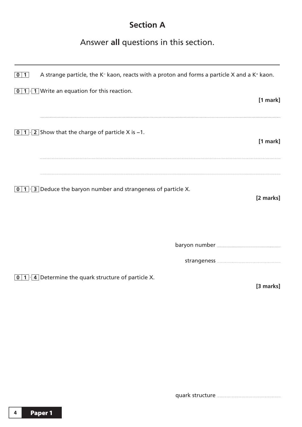## **Section A**

#### Answer **all** questions in this section.

| 0 1                     | A strange particle, the K <sup>-</sup> kaon, reacts with a proton and forms a particle X and a K <sup>+</sup> kaon. |
|-------------------------|---------------------------------------------------------------------------------------------------------------------|
|                         | $\boxed{0}$ 1 $\cdot$ 1 Write an equation for this reaction.<br>[1 mark]                                            |
|                         | <b>0</b> 1 $\cdot$ 2 Show that the charge of particle X is -1.<br>[1 mark]                                          |
| $\vert 0 \vert 1 \vert$ | 3 Deduce the baryon number and strangeness of particle X.<br>[2 marks]                                              |
|                         |                                                                                                                     |
|                         | $\boxed{0}$ 1. 4 Determine the quark structure of particle X.<br>[3 marks]                                          |

quark structure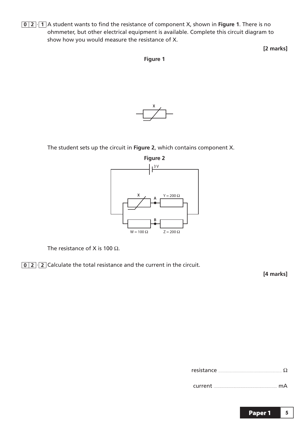**0 2** · **1** A student wants to find the resistance of component X, shown in **Figure 1**. There is no ohmmeter, but other electrical equipment is available. Complete this circuit diagram to show how you would measure the resistance of X.

**[2 marks]**

**Figure 1**



The student sets up the circuit in **Figure 2**, which contains component X.



The resistance of X is 100  $\Omega$ .

**0 2** · **2** Calculate the total resistance and the current in the circuit.

**[4 marks]**

current mA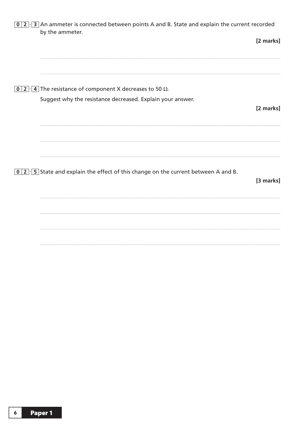| $0$   2 $\cdot$ 3   An ammeter is connected between points A and B. State and explain the current recorded<br>by the ammeter. |           |
|-------------------------------------------------------------------------------------------------------------------------------|-----------|
|                                                                                                                               | [2 marks] |
|                                                                                                                               |           |
| 0 2 $\cdot$ 4 The resistance of component X decreases to 50 $\Omega$ .                                                        |           |
| Suggest why the resistance decreased. Explain your answer.                                                                    |           |
|                                                                                                                               | [2 marks] |
| $\boxed{0}$ 2 $\cdot$ 5 State and explain the effect of this change on the current between A and B.                           | [3 marks] |
|                                                                                                                               |           |
|                                                                                                                               |           |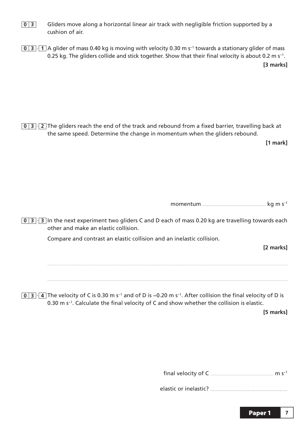- **0 3** Gliders move along a horizontal linear air track with negligible friction supported by a cushion of air.
- **0 3** · **1** A glider of mass 0.40 kg is moving with velocity 0.30 m s−1 towards a stationary glider of mass 0.25 kg. The gliders collide and stick together. Show that their final velocity is about 0.2 m s<sup>-1</sup>.

**[3 marks]**

**0 3** · **2** The gliders reach the end of the track and rebound from a fixed barrier, travelling back at the same speed. Determine the change in momentum when the gliders rebound.

**[1 mark]**

| momentum |  |  |  |  |
|----------|--|--|--|--|
|----------|--|--|--|--|

**0 3** · **3** In the next experiment two gliders C and D each of mass 0.20 kg are travelling towards each other and make an elastic collision.

Compare and contrast an elastic collision and an inelastic collision.

**[2 marks]**

**0 3** · **4** The velocity of C is 0.30 m s−1 and of D is −0.20 m s−1. After collision the final velocity of D is 0.30 m s−1. Calculate the final velocity of C and show whether the collision is elastic.

**[5 marks]**

final velocity of C  $\frac{m_1}{m_2}$  m s<sup>-1</sup>

elastic or inelastic?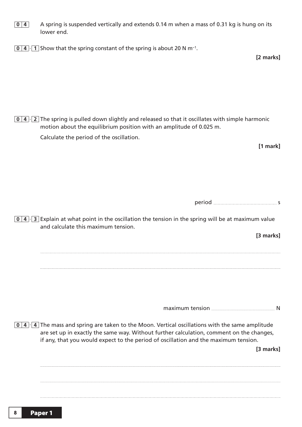- **0 4** A spring is suspended vertically and extends 0.14 m when a mass of 0.31 kg is hung on its lower end.
- **0 4** · **1** Show that the spring constant of the spring is about 20 N m−1.

**[2 marks]**

**0 4** · **2** The spring is pulled down slightly and released so that it oscillates with simple harmonic motion about the equilibrium position with an amplitude of 0.025 m.

Calculate the period of the oscillation.

**[1 mark]**

period services and services of the services of the services of the services of the services of the services of the services of the services of the services of the services of the services of the services of the services o

**0 4** · **3** Explain at what point in the oscillation the tension in the spring will be at maximum value and calculate this maximum tension.

**[3 marks]**

maximum tension **N** 

**0 4** · **4** The mass and spring are taken to the Moon. Vertical oscillations with the same amplitude are set up in exactly the same way. Without further calculation, comment on the changes, if any, that you would expect to the period of oscillation and the maximum tension.

**[3 marks]**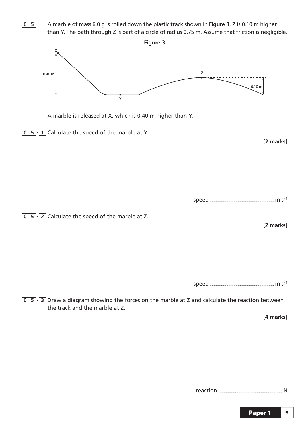**0 5** A marble of mass 6.0 g is rolled down the plastic track shown in **Figure 3**. Z is 0.10 m higher than Y. The path through Z is part of a circle of radius 0.75 m. Assume that friction is negligible. **Figure 3 X Z** 0.40 m 0.10 m <u> - - - - - - - - - - - - - - -</u> **Y** A marble is released at X, which is 0.40 m higher than Y. **0 5** · **1** Calculate the speed of the marble at Y. **[2 marks]** speed **m** s<sup>−1</sup> **0 5** · **2** Calculate the speed of the marble at Z. **[2 marks]** speed m s−1

**0 5** · **3** Draw a diagram showing the forces on the marble at Z and calculate the reaction between the track and the marble at Z.

**[4 marks]**

reaction N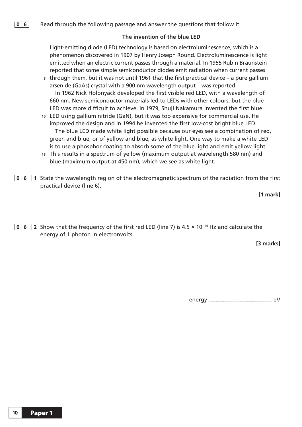#### The invention of the blue LED

Light-emitting diode (LED) technology is based on electroluminescence, which is a phenomenon discovered in 1907 by Henry Joseph Round. Electroluminescence is light emitted when an electric current passes through a material. In 1955 Rubin Braunstein reported that some simple semiconductor diodes emit radiation when current passes through them, but it was not until 1961 that the first practical device – a pure gallium **5**

arsenide (GaAs) crystal with a 900 nm wavelength output – was reported. In 1962 Nick Holonyack developed the first visible red LED, with a wavelength of 660 nm. New semiconductor materials led to LEDs with other colours, but the blue LED was more difficult to achieve. In 1979, Shuji Nakamura invented the first blue

- LED using gallium nitride (GaN), but it was too expensive for commercial use. He **10** improved the design and in 1994 he invented the first low-cost bright blue LED. The blue LED made white light possible because our eyes see a combination of red, green and blue, or of yellow and blue, as white light. One way to make a white LED is to use a phosphor coating to absorb some of the blue light and emit yellow light.
- This results in a spectrum of yellow (maximum output at wavelength 580 nm) and **15** blue (maximum output at 450 nm), which we see as white light.
- **0 6** · **1** State the wavelength region of the electromagnetic spectrum of the radiation from the first practical device (line 6).

**[1 mark]**

**0 6** · **2** Show that the frequency of the first red LED (line 7) is 4.5 × 10−14 Hz and calculate the energy of 1 photon in electronvolts.

**[3 marks]**

energy eV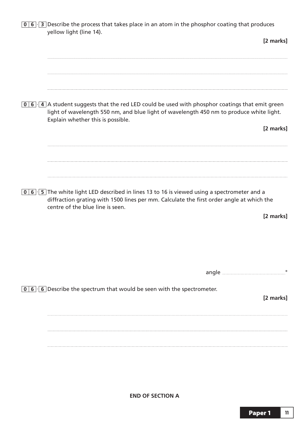**0 6** · **3** Describe the process that takes place in an atom in the phosphor coating that produces yellow light (line 14).

**[2 marks] 0 6** · **4** A student suggests that the red LED could be used with phosphor coatings that emit green light of wavelength 550 nm, and blue light of wavelength 450 nm to produce white light. Explain whether this is possible. **[2 marks] 0 6** · **5** The white light LED described in lines 13 to 16 is viewed using a spectrometer and a diffraction grating with 1500 lines per mm. Calculate the first order angle at which the centre of the blue line is seen. **[2 marks]** angle such angle angle angle and the set of the set of the set of the set of the set of the set of the set of the set of the set of the set of the set of the set of the set of the set of the set of the set of the set of th **0 6** · **6** Describe the spectrum that would be seen with the spectrometer. **[2 marks]**

**END OF SECTION A**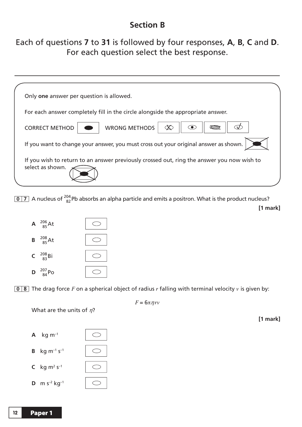#### **Section B Section B**

#### Each of questions **7** to **31** is followed by four responses, **A**, **B**, **C** and **D**. For each question select the best response.

| Only one answer per question is allowed.                                                                       |  |
|----------------------------------------------------------------------------------------------------------------|--|
| For each answer completely fill in the circle alongside the appropriate answer.                                |  |
| <b>WRONG METHODS</b><br>$\odot$<br><b>CORRECT METHOD</b>                                                       |  |
| If you want to change your answer, you must cross out your original answer as shown.                           |  |
| If you wish to return to an answer previously crossed out, ring the answer you now wish to<br>select as shown. |  |

**0 7** A nucleus of  $^{204}_{82}$ Pb absorbs an alpha particle and emits a positron. What is the product nucleus? **[1 mark]**



**0 8** The drag force *F* on a spherical object of radius *r* falling with terminal velocity *v* is given by:

What are the units of *h*?



$$
F=6\pi\eta rv
$$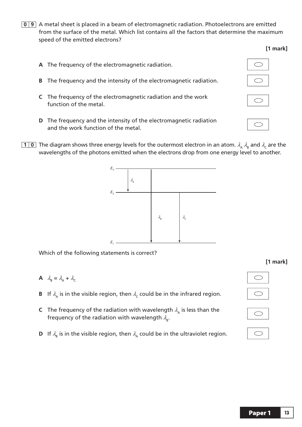**0 9** A metal sheet is placed in a beam of electromagnetic radiation. Photoelectrons are emitted from the surface of the metal. Which list contains all the factors that determine the maximum speed of the emitted electrons?

#### **[1 mark]**

- **A** The frequency of the electromagnetic radiation.  $\bigcirc$ **B** The frequency and the intensity of the electromagnetic radiation. **C** The frequency of the electromagnetic radiation and the work function of the metal. **D** The frequency and the intensity of the electromagnetic radiation and the work function of the metal.
- **10** The diagram shows three energy levels for the outermost electron in an atom.  $\lambda_A \lambda_B$  and  $\lambda_C$  are the wavelengths of the photons emitted when the electrons drop from one energy level to another.



Which of the following statements is correct?

- **A**  $\lambda_{\text{B}} = \lambda_{\text{A}} + \lambda_{\text{C}}$
- **B** If  $\lambda_{\alpha}$  is in the visible region, then  $\lambda_c$  could be in the infrared region.
- **C** The frequency of the radiation with wavelength  $\lambda$ <sub>A</sub> is less than the frequency of the radiation with wavelength  $\lambda_{\rm B}$ .
- **D** If  $\lambda_{\rm B}$  is in the visible region, then  $\lambda_{\rm A}$  could be in the ultraviolet region.





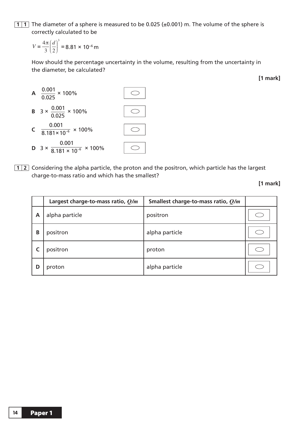**1 1** The diameter of a sphere is measured to be 0.025 (±0.001) m. The volume of the sphere is correctly calculated to be

 $=\frac{4\pi}{3}\left(\frac{d}{2}\right)^3=$  $\parallel$ ⎞ ⎠  $V = \frac{4\pi}{3} \left( \frac{d}{2} \right)$  $3(2)$ 3 8.81 × 10−6 m

 How should the percentage uncertainty in the volume, resulting from the uncertainty in the diameter, be calculated?



**1 2** Considering the alpha particle, the proton and the positron, which particle has the largest charge-to-mass ratio and which has the smallest?

|   | Largest charge-to-mass ratio, $Q/m$ | Smallest charge-to-mass ratio, $Q/m$ |  |
|---|-------------------------------------|--------------------------------------|--|
| A | alpha particle                      | positron                             |  |
| B | positron                            | alpha particle                       |  |
|   | positron                            | proton                               |  |
| D | proton                              | alpha particle                       |  |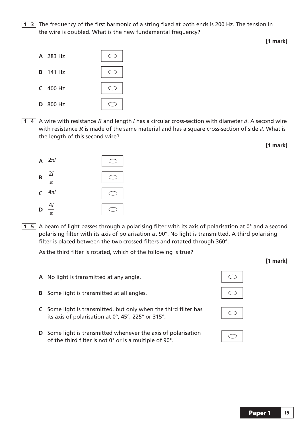**1 3** The frequency of the first harmonic of a string fixed at both ends is 200 Hz. The tension in the wire is doubled. What is the new fundamental frequency?



**1 4** A wire with resistance *R* and length *l* has a circular cross-section with diameter *d*. A second wire with resistance *R* is made of the same material and has a square cross-section of side *d*. What is the length of this second wire?



**1 5** A beam of light passes through a polarising filter with its axis of polarisation at 0° and a second polarising filter with its axis of polarisation at 90°. No light is transmitted. A third polarising filter is placed between the two crossed filters and rotated through 360°.

As the third filter is rotated, which of the following is true?

- **A** No light is transmitted at any angle.
- **B** Some light is transmitted at all angles.
- **C** Some light is transmitted, but only when the third filter has its axis of polarisation at 0°, 45°, 225° or 315°.
- **D** Some light is transmitted whenever the axis of polarisation of the third filter is not 0° or is a multiple of 90°.





|--|

**[1 mark]**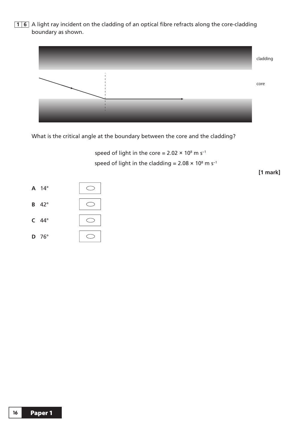**1 6** A light ray incident on the cladding of an optical fibre refracts along the core-cladding boundary as shown.



What is the critical angle at the boundary between the core and the cladding?

speed of light in the core =  $2.02 \times 10^8$  m s<sup>-1</sup> speed of light in the cladding =  $2.08 \times 10^8$  m s<sup>-1</sup>

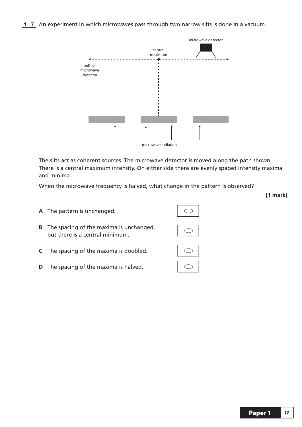**17** An experiment in which microwaves pass through two narrow slits is done in a vacuum.



 The slits act as coherent sources. The microwave detector is moved along the path shown. There is a central maximum intensity. On either side there are evenly spaced intensity maxima and minima.

When the microwave frequency is halved, what change in the pattern is observed?

- **A** The pattern is unchanged. **B** The spacing of the maxima is unchanged, but there is a central minimum.
- **C** The spacing of the maxima is doubled.
- **D** The spacing of the maxima is halved.

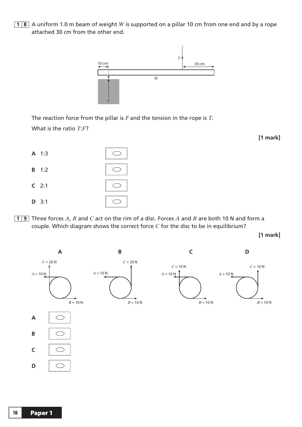**1 8** A uniform 1.0 m beam of weight *W* is supported on a pillar 10 cm from one end and by a rope



 The reaction force from the pillar is *F* and the tension in the rope is *T*. What is the ratio *T:F?* 

| A 1:3        |  |
|--------------|--|
| <b>B</b> 1:2 |  |
| $C$ 2:1      |  |
| $D$ 3:1      |  |

attached 30 cm from the other end.

**1 9** Three forces *A*, *B* and *C* act on the rim of a disc. Forces *A* and *B* are both 10 N and form a couple. Which diagram shows the correct force *C* for the disc to be in equilibrium?

**[1 mark]**

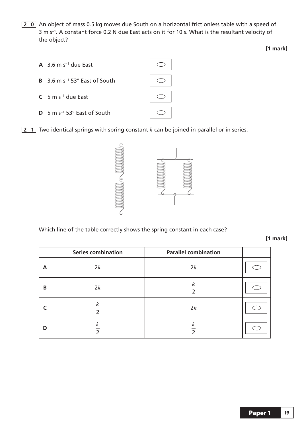**2 0** An object of mass 0.5 kg moves due South on a horizontal frictionless table with a speed of 3 m s−1. A constant force 0.2 N due East acts on it for 10 s. What is the resultant velocity of the object?



**2 1** Two identical springs with spring constant *k* can be joined in parallel or in series.



Which line of the table correctly shows the spring constant in each case?

**[1 mark]**

|   | <b>Series combination</b>                    | <b>Parallel combination</b>     |  |
|---|----------------------------------------------|---------------------------------|--|
| A | 2k                                           | 2k                              |  |
| B | 2k                                           | $\kappa$<br>$\overline{2}$      |  |
|   | $\boldsymbol{k}$<br>$\overline{2}$           | 2k                              |  |
| D | $\boldsymbol{k}$<br>$\overline{\phantom{0}}$ | $\frac{k}{2}$<br>$\overline{2}$ |  |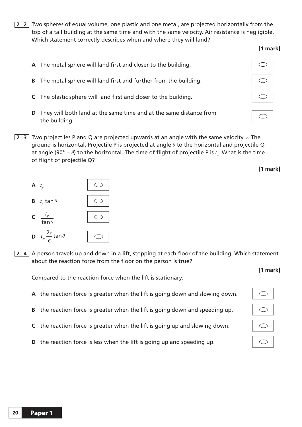**2 2** Two spheres of equal volume, one plastic and one metal, are projected horizontally from the top of a tall building at the same time and with the same velocity. Air resistance is negligible. Which statement correctly describes when and where they will land?

#### **[1 mark]**

- **A** The metal sphere will land first and closer to the building.
- **B** The metal sphere will land first and further from the building.
- **C** The plastic sphere will land first and closer to the building.
- **D** They will both land at the same time and at the same distance from the building.
- **2 3** Two projectiles P and Q are projected upwards at an angle with the same velocity *v*. The ground is horizontal. Projectile P is projected at angle  $\theta$  to the horizontal and projectile Q at angle (90° –  $\theta$ ) to the horizontal. The time of flight of projectile P is  $t_{_{P}}.$  What is the time of flight of projectile Q?



**2 4** A person travels up and down in a lift, stopping at each floor of the building. Which statement about the reaction force from the floor on the person is true?

Compared to the reaction force when the lift is stationary:

- **A** the reaction force is greater when the lift is going down and slowing down.
- **B** the reaction force is greater when the lift is going down and speeding up.
- **C** the reaction force is greater when the lift is going up and slowing down.
- **D** the reaction force is less when the lift is going up and speeding up.





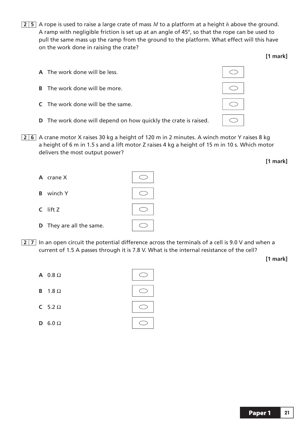- **2 5** A rope is used to raise a large crate of mass *M* to a platform at a height *h* above the ground. A ramp with negligible friction is set up at an angle of 45°, so that the rope can be used to pull the same mass up the ramp from the ground to the platform. What effect will this have on the work done in raising the crate?
	- **A** The work done will be less.
	- **B** The work done will be more.
	- **C** The work done will be the same.
	- **D** The work done will depend on how quickly the crate is raised.
- **2 6** A crane motor X raises 30 kg a height of 120 m in 2 minutes. A winch motor Y raises 8 kg a height of 6 m in 1.5 s and a lift motor Z raises 4 kg a height of 15 m in 10 s. Which motor delivers the most output power?
	- **A** crane X **B** winch Y **C** lift Z **D** They are all the same.  $\bigcirc$
- **27** In an open circuit the potential difference across the terminals of a cell is 9.0 V and when a current of 1.5 A passes through it is 7.8 V. What is the internal resistance of the cell?

**[1 mark]**

**[1 mark]**

**[1 mark]**

Paper 1 **21**

| A $0.8 \Omega$        |  |
|-----------------------|--|
| <b>B</b> $1.8 \Omega$ |  |
| C 5.2 $\Omega$        |  |
| D 6.0 $\Omega$        |  |

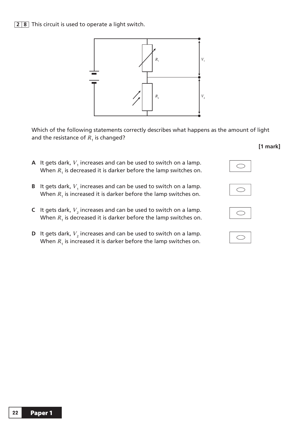

 Which of the following statements correctly describes what happens as the amount of light and the resistance of  $R_{_1}$  is changed?

- **A** It gets dark,  $V_1$  increases and can be used to switch on a lamp.<br>When *B* is decreased it is darker before the lamp switches on When  $R_1$  is decreased it is darker before the lamp switches on.
- **B** It gets dark,  $V_1$  increases and can be used to switch on a lamp.<br>When *B* is increased it is darker before the lamp switches on When  $R_1$  is increased it is darker before the lamp switches on.
- **C** It gets dark,  $V_2$  increases and can be used to switch on a lamp.<br>When *B* is decreased it is darker before the lamp switches on When  $R_1$  is decreased it is darker before the lamp switches on.
- **D** It gets dark,  $V_2$  increases and can be used to switch on a lamp.<br>When *B* is increased it is darker before the lamp switches an When  $R_1$  is increased it is darker before the lamp switches on.

|--|





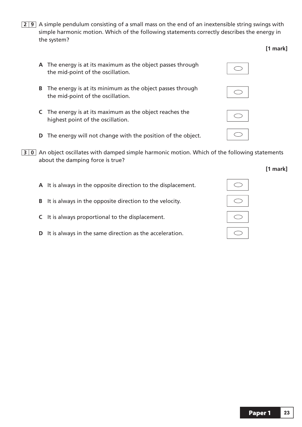- **2 9** A simple pendulum consisting of a small mass on the end of an inextensible string swings with simple harmonic motion. Which of the following statements correctly describes the energy in the system?
	- **A** The energy is at its maximum as the object passes through the mid-point of the oscillation.
	- **B** The energy is at its minimum as the object passes through the mid-point of the oscillation.
	- **C** The energy is at its maximum as the object reaches the highest point of the oscillation.
	- **D** The energy will not change with the position of the object.
- **30** An object oscillates with damped simple harmonic motion. Which of the following statements about the damping force is true?
	- **A** It is always in the opposite direction to the displacement.
	- **B** It is always in the opposite direction to the velocity.
	- **C** It is always proportional to the displacement.
	- **D** It is always in the same direction as the acceleration.



**[1 mark]**



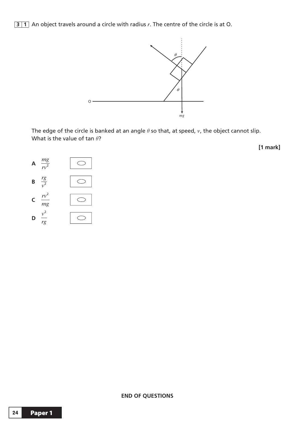**3 1** An object travels around a circle with radius *r*. The centre of the circle is at O.



The edge of the circle is banked at an angle  $\theta$  so that, at speed,  $v$ , the object cannot slip. What is the value of tan  $\theta$ ?

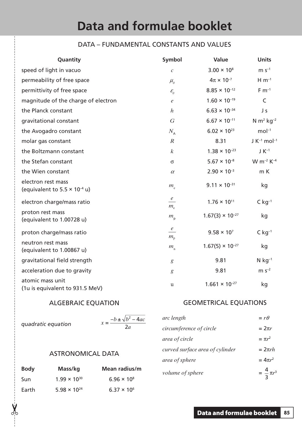#### DATA – FUNDAMENTAL CONSTANTS AND VALUES

| Quantity                                                              | Symbol                        | Value                     | <b>Units</b>                 |
|-----------------------------------------------------------------------|-------------------------------|---------------------------|------------------------------|
| speed of light in vacuo                                               | $\boldsymbol{c}$              | $3.00 \times 10^{8}$      | $m s^{-1}$                   |
| permeability of free space                                            | $\mu_{\scriptscriptstyle 0}$  | $4\pi \times 10^{-7}$     | $H \, \text{m}^{-1}$         |
| permittivity of free space                                            | $\mathcal{E}_0$               | $8.85 \times 10^{-12}$    | $F m^{-1}$                   |
| magnitude of the charge of electron                                   | $\boldsymbol{e}$              | $1.60 \times 10^{-19}$    | $\mathsf{C}$                 |
| the Planck constant                                                   | $\boldsymbol{h}$              | $6.63 \times 10^{-34}$    | Js                           |
| gravitational constant                                                | $\overline{G}$                | $6.67 \times 10^{-11}$    | N $m^2$ kg <sup>-2</sup>     |
| the Avogadro constant                                                 | $N_{\rm A}$                   | $6.02 \times 10^{23}$     | $mol-1$                      |
| molar gas constant                                                    | $\boldsymbol{R}$              | 8.31                      | $J K^{-1}$ mol <sup>-1</sup> |
| the Boltzmann constant                                                | $\boldsymbol{k}$              | $1.38 \times 10^{-23}$    | $J K^{-1}$                   |
| the Stefan constant                                                   | $\sigma$                      | $5.67 \times 10^{-8}$     | $W m^{-2} K^{-4}$            |
| the Wien constant                                                     | $\alpha$                      | $2.90 \times 10^{-3}$     | m K                          |
| electron rest mass<br>(equivalent to 5.5 $\times$ 10 <sup>-4</sup> u) | $m_{\rm e}$                   | $9.11 \times 10^{-31}$    | kg                           |
| electron charge/mass ratio                                            | $\epsilon$<br>$m_e$           | $1.76 \times 10^{11}$     | $C$ kg <sup>-1</sup>         |
| proton rest mass<br>(equivalent to 1.00728 u)                         | $m_{\rm p}$                   | $1.67(3) \times 10^{-27}$ | kg                           |
| proton charge/mass ratio                                              | $\mathfrak{e}$<br>$m_{\rm p}$ | $9.58 \times 10^{7}$      | $C$ kg <sup>-1</sup>         |
| neutron rest mass<br>(equivalent to 1.00867 u)                        | $m_{\rm n}$                   | $1.67(5) \times 10^{-27}$ | kg                           |
| gravitational field strength                                          | $\boldsymbol{g}$              | 9.81                      | $N$ kg <sup>-1</sup>         |
| acceleration due to gravity                                           | $\boldsymbol{g}$              | 9.81                      | $m s^{-2}$                   |
| atomic mass unit<br>(1u is equivalent to 931.5 MeV)                   | $\mathbf u$                   | $1.661 \times 10^{-27}$   | kg                           |

#### ALGEBRAIC EQUATION

*quadratic equation x*

✂

 $=\frac{-b \pm \sqrt{b^2-4ac}}{2a}$ 2

#### ASTRONOMICAL DATA

| <b>Body</b> | Mass/kg               | Mean radius/m        |
|-------------|-----------------------|----------------------|
| <b>Sun</b>  | $1.99 \times 10^{30}$ | $6.96 \times 10^{8}$ |
| Earth       | $5.98 \times 10^{24}$ | $6.37 \times 10^{6}$ |

#### GEOMETRICAL EQUATIONS

| arc length                      | $= r \theta$          |
|---------------------------------|-----------------------|
| circumference of circle         | $=2\pi r$             |
| area of circle                  | $= \pi r^2$           |
| curved surface area of cylinder | $=2\pi rh$            |
| area of sphere                  | $= 4\pi r^2$          |
| volume of sphere                | $=\frac{4}{3}\pi r^3$ |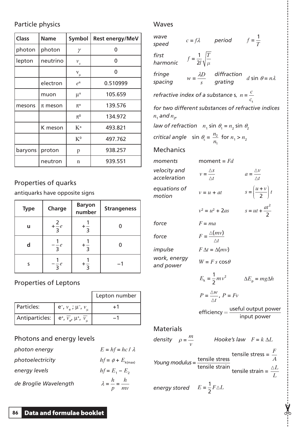#### Particle physics

| <b>Class</b> | <b>Name</b> | <b>Symbol</b> | <b>Rest energy/MeV</b> |
|--------------|-------------|---------------|------------------------|
| photon       | photon      | γ             | U                      |
| lepton       | neutrino    | $v_{\rm e}$   | 0                      |
|              |             | $v_{\mu}$     | O                      |
|              | electron    | $e^{\pm}$     | 0.510999               |
|              | muon        | $\mu^{\pm}$   | 105.659                |
| mesons       | $\pi$ meson | $\pi^\pm$     | 139.576                |
|              |             | $\pi^0$       | 134.972                |
|              | K meson     | $K^{\pm}$     | 493.821                |
|              |             | $K^0$         | 497.762                |
| baryons      | proton      | p             | 938.257                |
|              | neutron     | n             | 939.551                |

#### Properties of quarks

antiquarks have opposite signs

| <b>Type</b> | Charge          | <b>Baryon</b><br>number | <b>Strangeness</b> |
|-------------|-----------------|-------------------------|--------------------|
| u           | $+\frac{2}{3}e$ |                         |                    |
| d           | $-\frac{e}{3}$  |                         |                    |
| S           | $-\frac{1}{3}e$ |                         |                    |

#### Properties of Leptons

|                                                                                              |                           | Lepton number |
|----------------------------------------------------------------------------------------------|---------------------------|---------------|
| Particles:                                                                                   | $e^-, v_e^-, \mu^-, v_u^$ | ∓ 1           |
| Antiparticles: $\mid$ e <sup>+</sup> , $\overline{v}_{e}$ , $\mu^{+}$ , $\overline{v}_{\mu}$ |                           | - 1           |

#### Photons and energy levels

| photon energy         | $E = hf = hc / \lambda$                     |
|-----------------------|---------------------------------------------|
| photoelectricity      | $hf = \phi + E_{k(max)}$                    |
| energy levels         | $hf = E_1 - E_2$                            |
| de Broglie Wavelength | $\lambda = \frac{h}{n} = \frac{h}{n}$<br>mv |

#### Waves

| wave<br>speed                                                           |                                         | $c = f\lambda$ period                                                      | $f=\frac{1}{T}$                                                                   |
|-------------------------------------------------------------------------|-----------------------------------------|----------------------------------------------------------------------------|-----------------------------------------------------------------------------------|
| first<br>harmonic                                                       | $f = \frac{1}{2l} \sqrt{\frac{T}{\mu}}$ |                                                                            |                                                                                   |
| fringe<br>spacing                                                       |                                         | $w = \frac{\lambda D}{s}$ diffraction<br>grating d sin $\theta = n\lambda$ |                                                                                   |
| refractive index of a substance s, $n = \frac{c}{c_c}$                  |                                         |                                                                            |                                                                                   |
| for two different substances of refractive indices<br>$n_1$ and $n_2$ , |                                         |                                                                            |                                                                                   |
| law of refraction $n_1$ sin $\theta_1 = n_2$ sin $\theta_2$             |                                         |                                                                            |                                                                                   |
| critical angle $\sin \theta_c = \frac{n_2}{n_1}$ for $n_1 > n_2$        |                                         |                                                                            |                                                                                   |
| <b>Mechanics</b>                                                        |                                         |                                                                            |                                                                                   |
| moments                                                                 |                                         | moment = $Fd$                                                              |                                                                                   |
| velocity and<br>acceleration                                            |                                         | $v = \frac{\Delta s}{\Delta t}$                                            | $a = \frac{\Delta v}{\Delta t}$                                                   |
| equations of<br>motion                                                  |                                         | $v = u + at$                                                               | $s = \left(\frac{u+v}{2}\right)t$                                                 |
|                                                                         |                                         | $v^2 = u^2 + 2as$                                                          | $s = ut + \frac{at^2}{2}$                                                         |
| force                                                                   |                                         | $F = ma$                                                                   |                                                                                   |
| force                                                                   |                                         | $F = \frac{\Delta(mv)}{\Delta t}$                                          |                                                                                   |
| impulse                                                                 |                                         | $F \Delta t = \Delta (mv)$                                                 |                                                                                   |
| work, energy<br>and power                                               |                                         | $W = F s cos \theta$                                                       |                                                                                   |
|                                                                         |                                         | $E_{k} = \frac{1}{2}mv^{2}$                                                | $\Delta E_{\rm p} = mg\Delta h$                                                   |
|                                                                         |                                         | $P=\frac{\Delta W}{\Delta t}$ , $P=Fv$                                     |                                                                                   |
|                                                                         |                                         |                                                                            | $\textit{efficiency} = \frac{\textit{useful output power}}{\textit{input power}}$ |
| <b>Materials</b>                                                        |                                         |                                                                            |                                                                                   |
| density $\rho = \frac{m}{v}$                                            |                                         |                                                                            | Hooke's law $F = k \Delta L$                                                      |
| Young modulus = $\frac{\text{tensile stress}}{\text{tensile strain}}$   |                                         |                                                                            | tensile stress = $\frac{F}{A}$<br>tensile strain = $\frac{\Delta L}{I}$           |
| energy stored $E = \frac{1}{2} F \triangle L$                           |                                         |                                                                            |                                                                                   |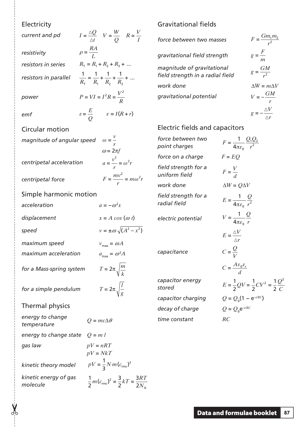| Electricity                       |                                                                                        |
|-----------------------------------|----------------------------------------------------------------------------------------|
| current and pd                    | $I = \frac{\Delta Q}{\Delta t}$ $V = \frac{W}{Q}$ $R = \frac{V}{I}$                    |
| resistivity                       | $\rho = \frac{RA}{I}$                                                                  |
| resistors in series               | $R_{\tau} = R_1 + R_2 + R_3 + $                                                        |
| resistors in parallel             | $\frac{1}{R_{\tau}} = \frac{1}{R_{\tau}} + \frac{1}{R_{\tau}} + \frac{1}{R_{\tau}} + $ |
| power                             | $P = VI = I^2 R = \frac{V^2}{R}$                                                       |
| emf                               | $\varepsilon = \frac{E}{Q}$ $\varepsilon = I(R+r)$                                     |
| <b>Circular motion</b>            |                                                                                        |
| magnitude of angular speed        | $\omega = \frac{V}{r}$<br>$\omega = 2\pi f$                                            |
| centripetal acceleration          | $a = \frac{v^2}{r} = \omega^2 r$                                                       |
| centripetal force                 | $F = \frac{mv^2}{r} = m\omega^2 r$                                                     |
| Simple harmonic motion            |                                                                                        |
| acceleration                      | $a = -\omega^2 x$                                                                      |
| displacement                      | $x = A \cos(\omega t)$                                                                 |
| speed                             | $v = \pm \omega \sqrt{(A^2 - x^2)}$                                                    |
| maximum speed                     | $v_{\text{max}} = \omega A$                                                            |
| maximum acceleration              | $a_{\text{max}} = \omega^2 A$                                                          |
| for a Mass-spring system          | $T = 2\pi \sqrt{\frac{m}{k}}$                                                          |
| for a simple pendulum             | $T = 2\pi \sqrt{\frac{l}{g}}$                                                          |
| Thermal physics                   |                                                                                        |
| energy to change<br>temperature   | $Q = mc\Delta\theta$                                                                   |
| energy to change state            | $Q = m l$                                                                              |
| gas law                           | $pV = nRT$<br>$pV = NkT$                                                               |
| kinetic theory model              | $pV = \frac{1}{3} N m (c_{\rm rms})^2$                                                 |
| kinetic energy of gas<br>molecule | $\frac{1}{2}m(c_{\rm rms})^2 = \frac{3}{2}kT = \frac{3RT}{2N}.$                        |

ďŗ

#### Gravitational fields

| force between two masses                                       | $F = \frac{Gm_1m_2}{r^2}$      |
|----------------------------------------------------------------|--------------------------------|
| gravitational field strength                                   | $g = \frac{F}{m}$              |
| magnitude of gravitational<br>field strength in a radial field | $g = \frac{GM}{r^2}$           |
| work done                                                      | $\Delta W = m \Delta V$        |
| gravitational potential                                        | $V = -\frac{GM}{\hbar}$        |
|                                                                | $g=-\frac{\Delta V}{\Delta r}$ |

 $\triangle r$ 

#### Electric fields and capacitors

| force between two<br>point charges    | $F = \frac{1}{4\pi\varepsilon_0} \frac{Q_1 Q_2}{r^2}$                                                 |
|---------------------------------------|-------------------------------------------------------------------------------------------------------|
| force on a charge                     | $F = EO$                                                                                              |
| field strength for a<br>uniform field | $F = \frac{V}{d}$                                                                                     |
| work done                             | $\Delta W = Q \Delta V$                                                                               |
| field strength for a<br>radial field  | $E = \frac{1}{4\pi\epsilon_0} \frac{Q}{r^2}$                                                          |
| electric potential                    | $V = \frac{1}{4\pi\epsilon_0} \frac{Q}{r}$                                                            |
| capacitance                           | $E = \frac{\Delta V}{\Delta r}$<br>$C = \frac{Q}{V}$<br>$C = \frac{A \varepsilon_0 \varepsilon_r}{I}$ |
| capacitor energy<br>stored            | $E = \frac{1}{2}QV = \frac{1}{2}CV^2 = \frac{1}{2}\frac{Q^2}{C}$                                      |
| capacitor charging                    | $Q = Q_0(1 - e^{-t/RC})$                                                                              |
| decay of charge                       | $Q = Q_0 e^{-t/RC}$                                                                                   |
| time constant                         | RC                                                                                                    |
|                                       |                                                                                                       |